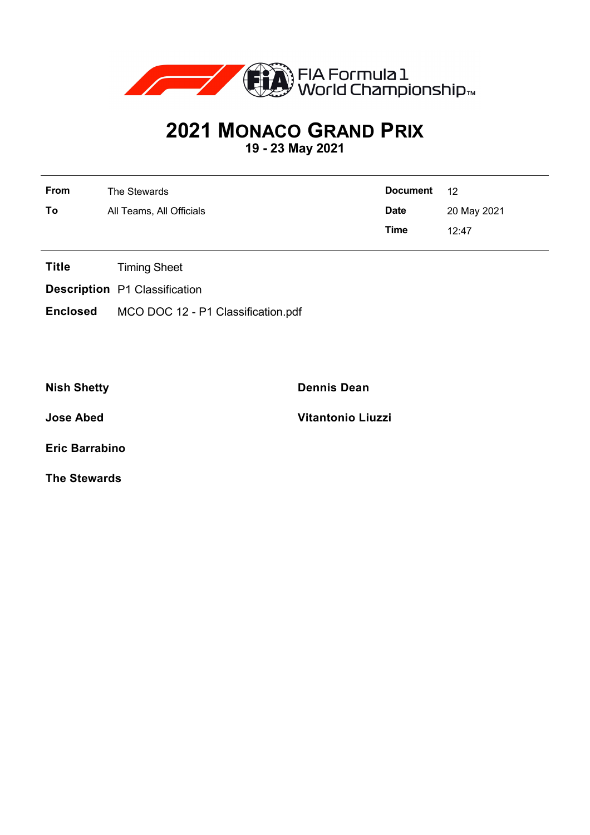

## **2021 MONACO GRAND PRIX**

**19 - 23 May 2021**

| From | The Stewards             | <b>Document</b> | 12          |
|------|--------------------------|-----------------|-------------|
| To   | All Teams, All Officials | <b>Date</b>     | 20 May 2021 |
|      |                          | Time            | 12:47       |

- **Title** Timing Sheet
- **Description** P1 Classification
- **Enclosed** MCO DOC 12 P1 Classification.pdf

**Nish Shetty Dennis Dean**

**Jose Abed Vitantonio Liuzzi**

**Eric Barrabino**

**The Stewards**